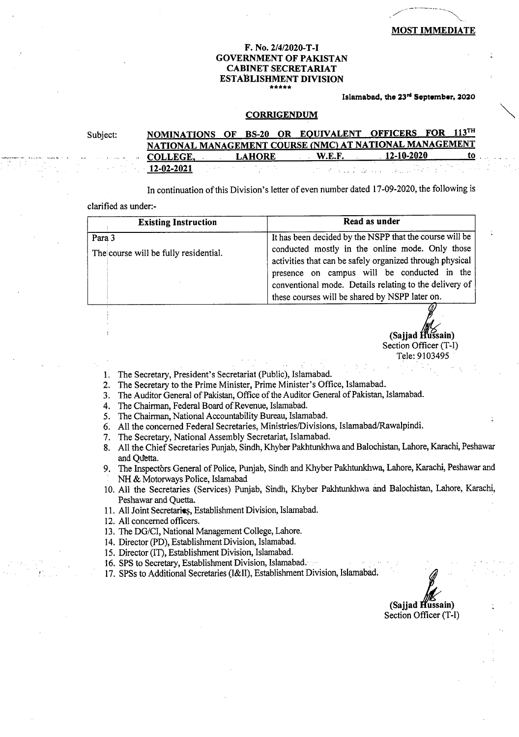### **F. No. 2/4/2020-T-I GOVERNMENT OF PAKISTAN CABINET SECRETARIAT ESTABLISHMENT DIVISION \*\*\*\*\***

### Islamabad, the 23<sup>rd</sup> September, 2020

#### **CORRIGENDUM**

| Subject: | NOMINATIONS OF BS-20 OR EQUIVALENT OFFICERS FOR 113TH   |               |               |                                                                                                                                                                                                                                 |           |
|----------|---------------------------------------------------------|---------------|---------------|---------------------------------------------------------------------------------------------------------------------------------------------------------------------------------------------------------------------------------|-----------|
|          | NATIONAL MANAGEMENT COURSE (NMC) AT NATIONAL MANAGEMENT |               |               |                                                                                                                                                                                                                                 |           |
|          | <b>COLLEGE.</b>                                         | <b>LAHORE</b> | <b>W.E.F.</b> | $12 - 10 - 2020$                                                                                                                                                                                                                | <b>TO</b> |
|          | $12-02-2021$                                            |               |               | in the set of a substitute of the set of the set of the set of the set of the set of the set of the set of the<br>The set of the set of the set of the set of the set of the set of the set of the set of the set of the set of |           |

In continuation of this Division's letter of even number dated 17-09-2020, the following is

## clarified as under:-

| <b>Existing Instruction</b>           | Read as under                                                                                                                                                                                                        |
|---------------------------------------|----------------------------------------------------------------------------------------------------------------------------------------------------------------------------------------------------------------------|
| Para 3                                | It has been decided by the NSPP that the course will be                                                                                                                                                              |
| The course will be fully residential. | conducted mostly in the online mode. Only those<br>activities that can be safely organized through physical<br>presence on campus will be conducted in the<br>conventional mode. Details relating to the delivery of |
|                                       | these courses will be shared by NSPP later on.                                                                                                                                                                       |
|                                       |                                                                                                                                                                                                                      |

Section Officer (T-I) Tele: 9103495

- 1. The Secretary, President's Secretariat (Public), Islamabad.
- The Secretary to the Prime Minister, Prime Minister's Office, Islamabad.  $2.$
- The Auditor General of Pakistan, Office of the Auditor General of Pakistan, Islamabad.  $3.$
- The Chairman, Federal Board of Revenue, Islamabad.
- 5. The Chairman, National Accountability Bureau, Islamabad.
- All the concerned Federal Secretaries, Ministries/Divisions, Islamabad/Rawalpindi.
- 7. The Secretary, National Assembly Secretariat, Islamabad.
- 8. All the Chief Secretaries Punjab, Sindh, Khyber Pakhtunkhwa and Balochistan, Lahore, Karachi, Peshawar and Quetta.
- 9. The Inspectors General of Police, Punjab, Sindh and Khyber Pakhtunkhwa, Lahore, Karachi, Peshawar and NH & Motorways Police, Islamabad
- 10. All the Secretaries (Services) Punjab, Sindh, Khyber Pakhtunkhwa and Balochistan, Lahore, Karachi, Peshawar and Quetta.
- 11. All Joint Secretaries, Establishment Division, Islamabad.
- All concerned officers.
- 13. The DG/CI, National Management College, Lahore.
- 14. Director (PD), Establishment Division, Islamabad.
- 15. Director (IT), Establishment Division, Islamabad.
- 16. SPS to Secretary, Establishment Division, Islamabad.
- 17. SPSs to Additional Secretaries (I&II), Establishment Division, Islamabad.

**,//. (Sajjad ussain)**  Section Officer (T-I)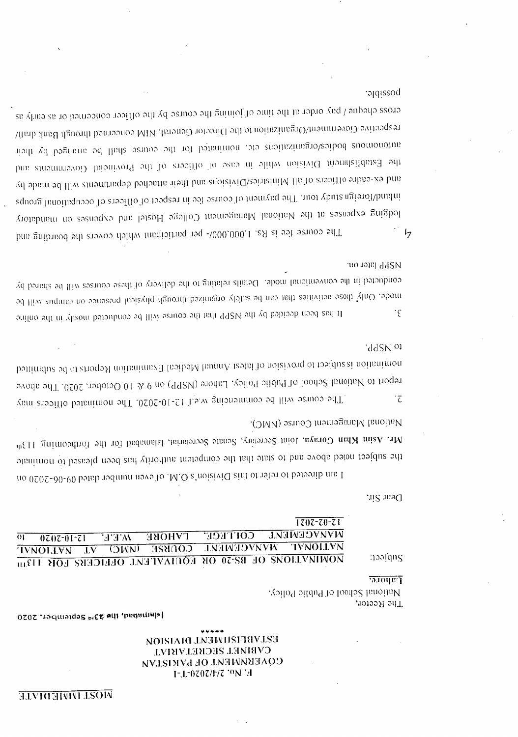# NOISIAIG LNEWHISITEV.LSE **CVBIMEL 2ECKELVEYUL COVERMINISM OF PAKISTAN** F.T-0202/1/2 .oN .H

[situtified, the 29<sup>14</sup> September, 2020

National School of Public Policy, ,10199Я 9ЛT

 $1707 - 70 - 71$ **TANACEMENT COLLEGE TYROL SE**  $\overline{01}$  $0707 - 01 - 71$ WET **TEAMAN MARKET TVNOLLVN GONISE TOWN IVNOLLVN**  $\overline{\overline{\mathbf{A}}\mathbf{V}}$ MOMINIOUS OF BE-20 OR EQUIVATENT OFFICERS FOT HIM

Dear Sir,

noolgug

**Lahore**.

National Management Course (NMC). Mr. Asim Mhan Goraya, Joint Secretary, Senate Secretarial, Islamabad fot the forthrooming 113<sup>th</sup> the subject noted above and to state that the competient authority has been pleased to nominate I am directed to refer to this Division's O.M.O ef even munber dated 09-06-2020 on

'ddSN 01 nomination is subject to provision of last Annual Medical Examination Reports of outsined report to National School of Public Policy, Lahore (NSPP) on 9 & 10 October. 2020. The above The course will be commencing w.e.f 12-10-2020. The nominated officers may İΣ

**Ref** Pater on: conducted in the conventional mode. Details relating to the defivery of these courses will be shared by mode. Only those activities that can be safely organized through physical presence on eampus will be It has been decided by the NSPP that the course will be conducted mostly in the online  $\cdot \epsilon$ 

cross cheque / pay order at the time of joining the course by the officer concerned or as early as respective Governmen/Organization to the Director General, MIM concerned through Bank draft aiodi vd bognirus od lliste oen nominati to the course shall be againment of the Establishment Division while in ease of other and to Provincial Governments and and ex-cadre offair the Ministrics/Divisions and their attached departments will be made by inhand/foreign study tour. The payment of course fee in respect of officers of occupational groups lodging expenses at the National Management College Hostel and expenses on mandatory  $\frac{1}{2}$ The course fee is RS. L,000,000/- per participant which covers the boarding and

posson.